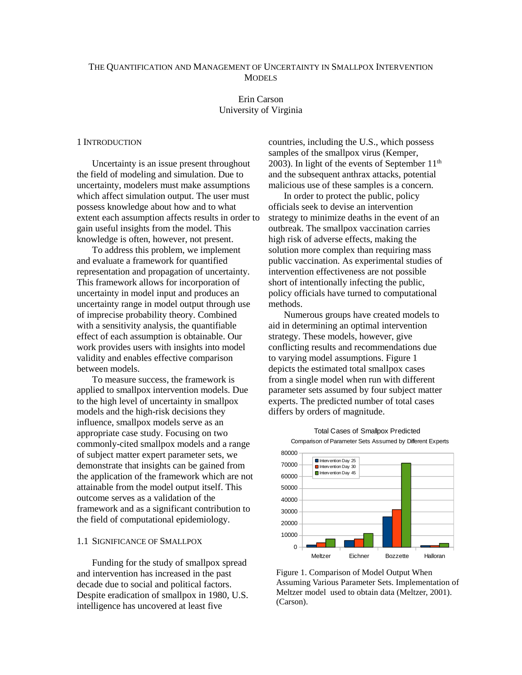# THE QUANTIFICATION AND MANAGEMENT OF UNCERTAINTY IN SMALLPOX INTERVENTION MODELS

# Erin Carson University of Virginia

#### 1 INTRODUCTION

Uncertainty is an issue present throughout the field of modeling and simulation. Due to uncertainty, modelers must make assumptions which affect simulation output. The user must possess knowledge about how and to what extent each assumption affects results in order to gain useful insights from the model. This knowledge is often, however, not present.

To address this problem, we implement and evaluate a framework for quantified representation and propagation of uncertainty. This framework allows for incorporation of uncertainty in model input and produces an uncertainty range in model output through use of imprecise probability theory. Combined with a sensitivity analysis, the quantifiable effect of each assumption is obtainable. Our work provides users with insights into model validity and enables effective comparison between models.

To measure success, the framework is applied to smallpox intervention models. Due to the high level of uncertainty in smallpox models and the high-risk decisions they influence, smallpox models serve as an appropriate case study. Focusing on two commonly-cited smallpox models and a range of subject matter expert parameter sets, we demonstrate that insights can be gained from the application of the framework which are not attainable from the model output itself. This outcome serves as a validation of the framework and as a significant contribution to the field of computational epidemiology.

#### 1.1 SIGNIFICANCE OF SMALLPOX

Funding for the study of smallpox spread and intervention has increased in the past decade due to social and political factors. Despite eradication of smallpox in 1980, U.S. intelligence has uncovered at least five

countries, including the U.S., which possess samples of the smallpox virus (Kemper, 2003). In light of the events of September  $11<sup>th</sup>$ and the subsequent anthrax attacks, potential malicious use of these samples is a concern.

In order to protect the public, policy officials seek to devise an intervention strategy to minimize deaths in the event of an outbreak. The smallpox vaccination carries high risk of adverse effects, making the solution more complex than requiring mass public vaccination. As experimental studies of intervention effectiveness are not possible short of intentionally infecting the public, policy officials have turned to computational methods.

Numerous groups have created models to aid in determining an optimal intervention strategy. These models, however, give conflicting results and recommendations due to varying model assumptions. Figure 1 depicts the estimated total smallpox cases from a single model when run with different parameter sets assumed by four subject matter experts. The predicted number of total cases differs by orders of magnitude.



Figure 1. Comparison of Model Output When Assuming Various Parameter Sets. Implementation of Meltzer model used to obtain data (Meltzer, 2001). (Carson).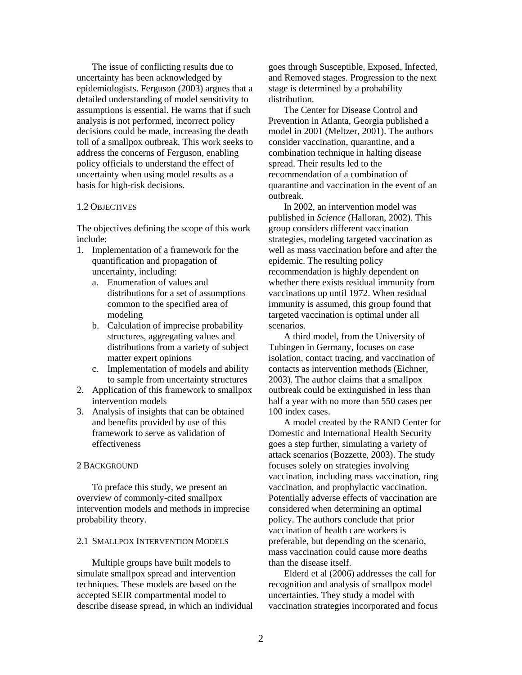The issue of conflicting results due to uncertainty has been acknowledged by epidemiologists. Ferguson (2003) argues that a detailed understanding of model sensitivity to assumptions is essential. He warns that if such analysis is not performed, incorrect policy decisions could be made, increasing the death toll of a smallpox outbreak. This work seeks to address the concerns of Ferguson, enabling policy officials to understand the effect of uncertainty when using model results as a basis for high-risk decisions.

### 1.2 OBJECTIVES

The objectives defining the scope of this work include:

- 1. Implementation of a framework for the quantification and propagation of uncertainty, including:
	- a. Enumeration of values and distributions for a set of assumptions common to the specified area of modeling
	- b. Calculation of imprecise probability structures, aggregating values and distributions from a variety of subject matter expert opinions
	- c. Implementation of models and ability to sample from uncertainty structures
- 2. Application of this framework to smallpox intervention models
- 3. Analysis of insights that can be obtained and benefits provided by use of this framework to serve as validation of effectiveness

### 2 BACKGROUND

To preface this study, we present an overview of commonly-cited smallpox intervention models and methods in imprecise probability theory.

# 2.1 SMALLPOX INTERVENTION MODELS

Multiple groups have built models to simulate smallpox spread and intervention techniques. These models are based on the accepted SEIR compartmental model to describe disease spread, in which an individual goes through Susceptible, Exposed, Infected, and Removed stages. Progression to the next stage is determined by a probability distribution.

The Center for Disease Control and Prevention in Atlanta, Georgia published a model in 2001 (Meltzer, 2001). The authors consider vaccination, quarantine, and a combination technique in halting disease spread. Their results led to the recommendation of a combination of quarantine and vaccination in the event of an outbreak.

In 2002, an intervention model was published in *Science* (Halloran, 2002). This group considers different vaccination strategies, modeling targeted vaccination as well as mass vaccination before and after the epidemic. The resulting policy recommendation is highly dependent on whether there exists residual immunity from vaccinations up until 1972. When residual immunity is assumed, this group found that targeted vaccination is optimal under all scenarios.

A third model, from the University of Tubingen in Germany, focuses on case isolation, contact tracing, and vaccination of contacts as intervention methods (Eichner, 2003). The author claims that a smallpox outbreak could be extinguished in less than half a year with no more than 550 cases per 100 index cases.

A model created by the RAND Center for Domestic and International Health Security goes a step further, simulating a variety of attack scenarios (Bozzette, 2003). The study focuses solely on strategies involving vaccination, including mass vaccination, ring vaccination, and prophylactic vaccination. Potentially adverse effects of vaccination are considered when determining an optimal policy. The authors conclude that prior vaccination of health care workers is preferable, but depending on the scenario, mass vaccination could cause more deaths than the disease itself.

Elderd et al (2006) addresses the call for recognition and analysis of smallpox model uncertainties. They study a model with vaccination strategies incorporated and focus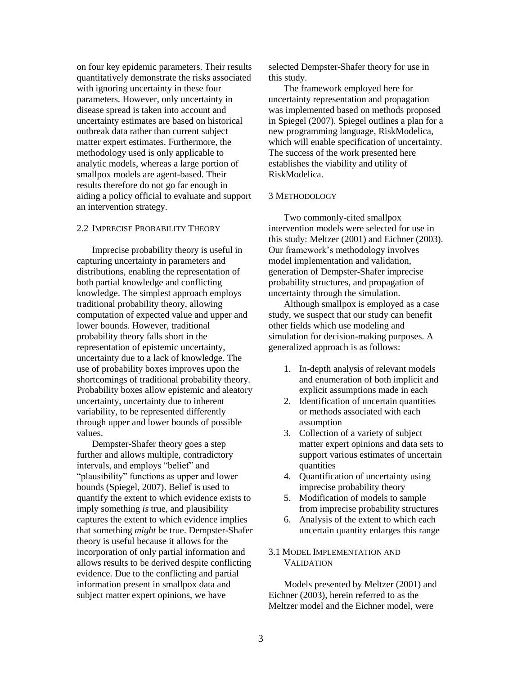on four key epidemic parameters. Their results quantitatively demonstrate the risks associated with ignoring uncertainty in these four parameters. However, only uncertainty in disease spread is taken into account and uncertainty estimates are based on historical outbreak data rather than current subject matter expert estimates. Furthermore, the methodology used is only applicable to analytic models, whereas a large portion of smallpox models are agent-based. Their results therefore do not go far enough in aiding a policy official to evaluate and support an intervention strategy.

### 2.2 IMPRECISE PROBABILITY THEORY

Imprecise probability theory is useful in capturing uncertainty in parameters and distributions, enabling the representation of both partial knowledge and conflicting knowledge. The simplest approach employs traditional probability theory, allowing computation of expected value and upper and lower bounds. However, traditional probability theory falls short in the representation of epistemic uncertainty, uncertainty due to a lack of knowledge. The use of probability boxes improves upon the shortcomings of traditional probability theory. Probability boxes allow epistemic and aleatory uncertainty, uncertainty due to inherent variability, to be represented differently through upper and lower bounds of possible values.

Dempster-Shafer theory goes a step further and allows multiple, contradictory intervals, and employs "belief" and "plausibility" functions as upper and lower bounds (Spiegel, 2007). Belief is used to quantify the extent to which evidence exists to imply something *is* true, and plausibility captures the extent to which evidence implies that something *might* be true. Dempster-Shafer theory is useful because it allows for the incorporation of only partial information and allows results to be derived despite conflicting evidence. Due to the conflicting and partial information present in smallpox data and subject matter expert opinions, we have

selected Dempster-Shafer theory for use in this study.

The framework employed here for uncertainty representation and propagation was implemented based on methods proposed in Spiegel (2007). Spiegel outlines a plan for a new programming language, RiskModelica, which will enable specification of uncertainty. The success of the work presented here establishes the viability and utility of RiskModelica.

#### 3 METHODOLOGY

Two commonly-cited smallpox intervention models were selected for use in this study: Meltzer (2001) and Eichner (2003). Our framework's methodology involves model implementation and validation, generation of Dempster-Shafer imprecise probability structures, and propagation of uncertainty through the simulation.

Although smallpox is employed as a case study, we suspect that our study can benefit other fields which use modeling and simulation for decision-making purposes. A generalized approach is as follows:

- 1. In-depth analysis of relevant models and enumeration of both implicit and explicit assumptions made in each
- 2. Identification of uncertain quantities or methods associated with each assumption
- 3. Collection of a variety of subject matter expert opinions and data sets to support various estimates of uncertain quantities
- 4. Quantification of uncertainty using imprecise probability theory
- 5. Modification of models to sample from imprecise probability structures
- 6. Analysis of the extent to which each uncertain quantity enlarges this range

# 3.1 MODEL IMPLEMENTATION AND VALIDATION

Models presented by Meltzer (2001) and Eichner (2003), herein referred to as the Meltzer model and the Eichner model, were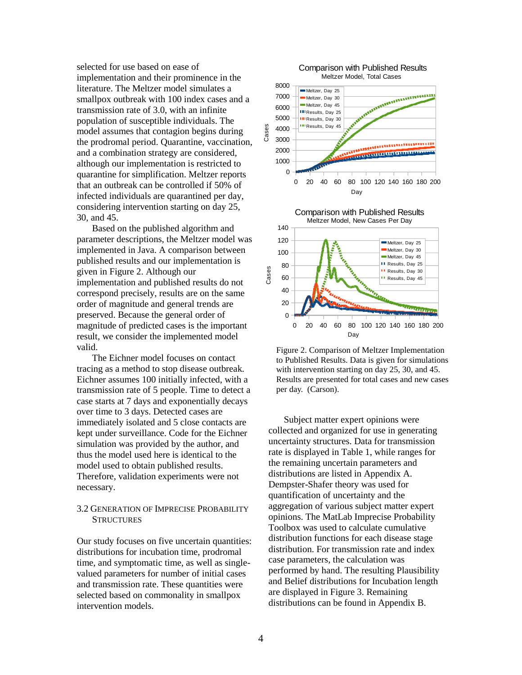selected for use based on ease of implementation and their prominence in the literature. The Meltzer model simulates a smallpox outbreak with 100 index cases and a transmission rate of 3.0, with an infinite population of susceptible individuals. The model assumes that contagion begins during the prodromal period. Quarantine, vaccination, and a combination strategy are considered, although our implementation is restricted to quarantine for simplification. Meltzer reports that an outbreak can be controlled if 50% of infected individuals are quarantined per day, considering intervention starting on day 25, 30, and 45.

Based on the published algorithm and parameter descriptions, the Meltzer model was implemented in Java. A comparison between published results and our implementation is given in Figure 2. Although our implementation and published results do not correspond precisely, results are on the same order of magnitude and general trends are preserved. Because the general order of magnitude of predicted cases is the important result, we consider the implemented model valid.

The Eichner model focuses on contact tracing as a method to stop disease outbreak. Eichner assumes 100 initially infected, with a transmission rate of 5 people. Time to detect a case starts at 7 days and exponentially decays over time to 3 days. Detected cases are immediately isolated and 5 close contacts are kept under surveillance. Code for the Eichner simulation was provided by the author, and thus the model used here is identical to the model used to obtain published results. Therefore, validation experiments were not necessary.

## 3.2 GENERATION OF IMPRECISE PROBABILITY **STRUCTURES**

Our study focuses on five uncertain quantities: distributions for incubation time, prodromal time, and symptomatic time, as well as singlevalued parameters for number of initial cases and transmission rate. These quantities were selected based on commonality in smallpox intervention models.



Figure 2. Comparison of Meltzer Implementation to Published Results. Data is given for simulations with intervention starting on day 25, 30, and 45. Results are presented for total cases and new cases per day. (Carson).

Subject matter expert opinions were collected and organized for use in generating uncertainty structures. Data for transmission rate is displayed in Table 1, while ranges for the remaining uncertain parameters and distributions are listed in Appendix A. Dempster-Shafer theory was used for quantification of uncertainty and the aggregation of various subject matter expert opinions. The MatLab Imprecise Probability Toolbox was used to calculate cumulative distribution functions for each disease stage distribution. For transmission rate and index case parameters, the calculation was performed by hand. The resulting Plausibility and Belief distributions for Incubation length are displayed in Figure 3. Remaining distributions can be found in Appendix B.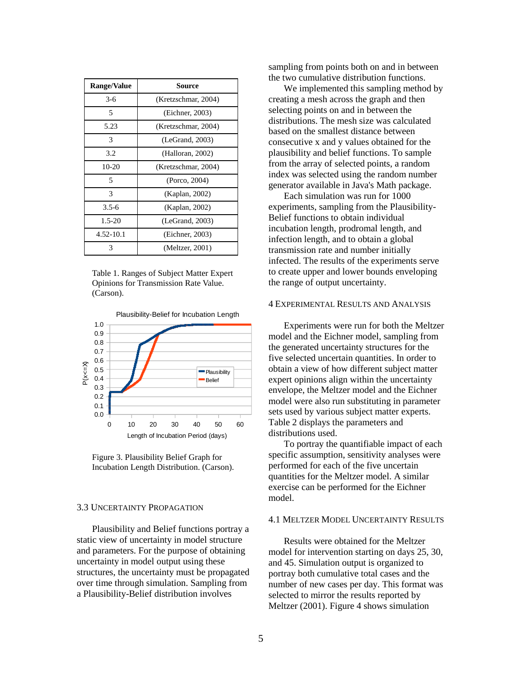| <b>Range/Value</b> | Source              |  |  |
|--------------------|---------------------|--|--|
| $3-6$              | (Kretzschmar, 2004) |  |  |
| 5                  | (Eichner, 2003)     |  |  |
| 5.23               | (Kretzschmar, 2004) |  |  |
| 3                  | (LeGrand, 2003)     |  |  |
| 3.2                | (Halloran, 2002)    |  |  |
| $10-20$            | (Kretzschmar, 2004) |  |  |
| 5                  | (Porco, 2004)       |  |  |
| 3                  | (Kaplan, 2002)      |  |  |
| $3.5 - 6$          | (Kaplan, 2002)      |  |  |
| $1.5 - 20$         | (LeGrand, 2003)     |  |  |
| 4.52-10.1          | (Eichner, 2003)     |  |  |
| 3                  | (Meltzer, 2001)     |  |  |

Table 1. Ranges of Subject Matter Expert Opinions for Transmission Rate Value. (Carson).



Figure 3. Plausibility Belief Graph for Incubation Length Distribution. (Carson).

### 3.3 UNCERTAINTY PROPAGATION

Plausibility and Belief functions portray a static view of uncertainty in model structure and parameters. For the purpose of obtaining uncertainty in model output using these structures, the uncertainty must be propagated over time through simulation. Sampling from a Plausibility-Belief distribution involves

sampling from points both on and in between the two cumulative distribution functions.

We implemented this sampling method by creating a mesh across the graph and then selecting points on and in between the distributions. The mesh size was calculated based on the smallest distance between consecutive x and y values obtained for the plausibility and belief functions. To sample from the array of selected points, a random index was selected using the random number generator available in Java's Math package.

Each simulation was run for 1000 experiments, sampling from the Plausibility-Belief functions to obtain individual incubation length, prodromal length, and infection length, and to obtain a global transmission rate and number initially infected. The results of the experiments serve to create upper and lower bounds enveloping the range of output uncertainty.

#### 4 EXPERIMENTAL RESULTS AND ANALYSIS

Experiments were run for both the Meltzer model and the Eichner model, sampling from the generated uncertainty structures for the five selected uncertain quantities. In order to obtain a view of how different subject matter expert opinions align within the uncertainty envelope, the Meltzer model and the Eichner model were also run substituting in parameter sets used by various subject matter experts. Table 2 displays the parameters and distributions used.

To portray the quantifiable impact of each specific assumption, sensitivity analyses were performed for each of the five uncertain quantities for the Meltzer model. A similar exercise can be performed for the Eichner model.

#### 4.1 MELTZER MODEL UNCERTAINTY RESULTS

Results were obtained for the Meltzer model for intervention starting on days 25, 30, and 45. Simulation output is organized to portray both cumulative total cases and the number of new cases per day. This format was selected to mirror the results reported by Meltzer (2001). Figure 4 shows simulation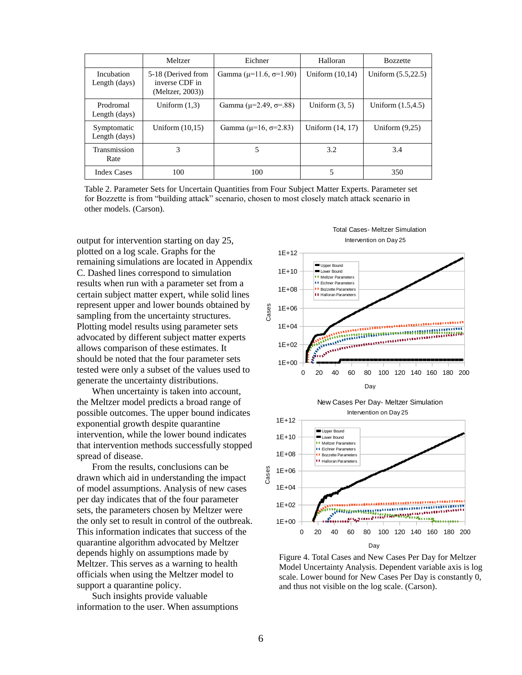|                              | Meltzer                                                  | Eichner                              | Halloran          | <b>Bozzette</b>       |
|------------------------------|----------------------------------------------------------|--------------------------------------|-------------------|-----------------------|
| Incubation<br>Length (days)  | 5-18 (Derived from<br>inverse CDF in<br>(Meltzer, 2003)) | Gamma ( $\mu$ =11.6, $\sigma$ =1.90) | Uniform $(10,14)$ | Uniform $(5.5, 22.5)$ |
| Prodromal<br>Length (days)   | Uniform $(1,3)$                                          | Gamma ( $\mu$ =2.49, $\sigma$ =.88)  | Uniform $(3, 5)$  | Uniform $(1.5, 4.5)$  |
| Symptomatic<br>Length (days) | Uniform $(10.15)$                                        | Gamma ( $\mu$ =16, $\sigma$ =2.83)   | Uniform (14, 17)  | Uniform $(9,25)$      |
| Transmission<br>Rate         | 3                                                        | 5                                    | 3.2               | 3.4                   |
| Index Cases                  | 100                                                      | 100                                  |                   | 350                   |

Table 2. Parameter Sets for Uncertain Quantities from Four Subject Matter Experts. Parameter set for Bozzette is from "building attack" scenario, chosen to most closely match attack scenario in other models. (Carson).

output for intervention starting on day 25, plotted on a log scale. Graphs for the remaining simulations are located in Appendix C. Dashed lines correspond to simulation results when run with a parameter set from a certain subject matter expert, while solid lines represent upper and lower bounds obtained by sampling from the uncertainty structures. Plotting model results using parameter sets advocated by different subject matter experts allows comparison of these estimates. It should be noted that the four parameter sets tested were only a subset of the values used to generate the uncertainty distributions.

When uncertainty is taken into account, the Meltzer model predicts a broad range of possible outcomes. The upper bound indicates exponential growth despite quarantine intervention, while the lower bound indicates that intervention methods successfully stopped spread of disease.

From the results, conclusions can be drawn which aid in understanding the impact of model assumptions. Analysis of new cases per day indicates that of the four parameter sets, the parameters chosen by Meltzer were the only set to result in control of the outbreak. This information indicates that success of the quarantine algorithm advocated by Meltzer depends highly on assumptions made by Meltzer. This serves as a warning to health officials when using the Meltzer model to support a quarantine policy.

Such insights provide valuable information to the user. When assumptions

Total Cases- Meltzer Simulation Intervention on Day 25





Figure 4. Total Cases and New Cases Per Day for Meltzer Model Uncertainty Analysis. Dependent variable axis is log scale. Lower bound for New Cases Per Day is constantly 0, and thus not visible on the log scale. (Carson).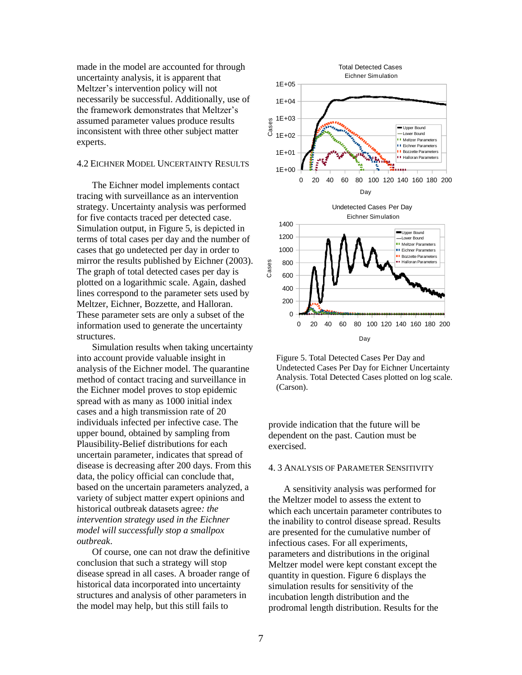made in the model are accounted for through uncertainty analysis, it is apparent that Meltzer's intervention policy will not necessarily be successful. Additionally, use of the framework demonstrates that Meltzer's assumed parameter values produce results inconsistent with three other subject matter experts.

### 4.2 EICHNER MODEL UNCERTAINTY RESULTS

The Eichner model implements contact tracing with surveillance as an intervention strategy. Uncertainty analysis was performed for five contacts traced per detected case. Simulation output, in Figure 5, is depicted in terms of total cases per day and the number of cases that go undetected per day in order to mirror the results published by Eichner (2003). The graph of total detected cases per day is plotted on a logarithmic scale. Again, dashed lines correspond to the parameter sets used by Meltzer, Eichner, Bozzette, and Halloran. These parameter sets are only a subset of the information used to generate the uncertainty structures.

Simulation results when taking uncertainty into account provide valuable insight in analysis of the Eichner model. The quarantine method of contact tracing and surveillance in the Eichner model proves to stop epidemic spread with as many as 1000 initial index cases and a high transmission rate of 20 individuals infected per infective case. The upper bound, obtained by sampling from Plausibility-Belief distributions for each uncertain parameter, indicates that spread of disease is decreasing after 200 days. From this data, the policy official can conclude that, based on the uncertain parameters analyzed, a variety of subject matter expert opinions and historical outbreak datasets agree*: the intervention strategy used in the Eichner model will successfully stop a smallpox outbreak*.

Of course, one can not draw the definitive conclusion that such a strategy will stop disease spread in all cases. A broader range of historical data incorporated into uncertainty structures and analysis of other parameters in the model may help, but this still fails to



Figure 5. Total Detected Cases Per Day and Undetected Cases Per Day for Eichner Uncertainty Analysis. Total Detected Cases plotted on log scale. (Carson).

provide indication that the future will be dependent on the past. Caution must be exercised.

### 4. 3 ANALYSIS OF PARAMETER SENSITIVITY

A sensitivity analysis was performed for the Meltzer model to assess the extent to which each uncertain parameter contributes to the inability to control disease spread. Results are presented for the cumulative number of infectious cases. For all experiments, parameters and distributions in the original Meltzer model were kept constant except the quantity in question. Figure 6 displays the simulation results for sensitivity of the incubation length distribution and the prodromal length distribution. Results for the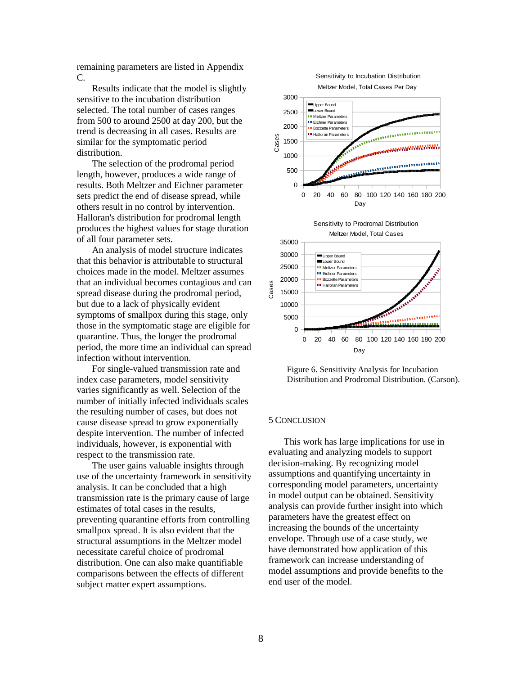remaining parameters are listed in Appendix C.

Results indicate that the model is slightly sensitive to the incubation distribution selected. The total number of cases ranges from 500 to around 2500 at day 200, but the trend is decreasing in all cases. Results are similar for the symptomatic period distribution.

The selection of the prodromal period length, however, produces a wide range of results. Both Meltzer and Eichner parameter sets predict the end of disease spread, while others result in no control by intervention. Halloran's distribution for prodromal length produces the highest values for stage duration of all four parameter sets.

An analysis of model structure indicates that this behavior is attributable to structural choices made in the model. Meltzer assumes that an individual becomes contagious and can spread disease during the prodromal period, but due to a lack of physically evident symptoms of smallpox during this stage, only those in the symptomatic stage are eligible for quarantine. Thus, the longer the prodromal period, the more time an individual can spread infection without intervention.

For single-valued transmission rate and index case parameters, model sensitivity varies significantly as well. Selection of the number of initially infected individuals scales the resulting number of cases, but does not cause disease spread to grow exponentially despite intervention. The number of infected individuals, however, is exponential with respect to the transmission rate.

The user gains valuable insights through use of the uncertainty framework in sensitivity analysis. It can be concluded that a high transmission rate is the primary cause of large estimates of total cases in the results, preventing quarantine efforts from controlling smallpox spread. It is also evident that the structural assumptions in the Meltzer model necessitate careful choice of prodromal distribution. One can also make quantifiable comparisons between the effects of different subject matter expert assumptions.



Figure 6. Sensitivity Analysis for Incubation Distribution and Prodromal Distribution. (Carson).

#### 5 CONCLUSION

This work has large implications for use in evaluating and analyzing models to support decision-making. By recognizing model assumptions and quantifying uncertainty in corresponding model parameters, uncertainty in model output can be obtained. Sensitivity analysis can provide further insight into which parameters have the greatest effect on increasing the bounds of the uncertainty envelope. Through use of a case study, we have demonstrated how application of this framework can increase understanding of model assumptions and provide benefits to the end user of the model.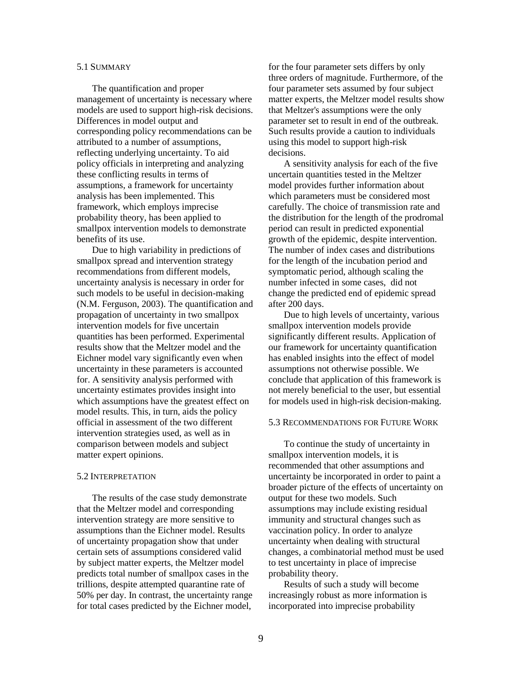# 5.1 SUMMARY

The quantification and proper management of uncertainty is necessary where models are used to support high-risk decisions. Differences in model output and corresponding policy recommendations can be attributed to a number of assumptions, reflecting underlying uncertainty. To aid policy officials in interpreting and analyzing these conflicting results in terms of assumptions, a framework for uncertainty analysis has been implemented. This framework, which employs imprecise probability theory, has been applied to smallpox intervention models to demonstrate benefits of its use.

Due to high variability in predictions of smallpox spread and intervention strategy recommendations from different models, uncertainty analysis is necessary in order for such models to be useful in decision-making (N.M. Ferguson, 2003). The quantification and propagation of uncertainty in two smallpox intervention models for five uncertain quantities has been performed. Experimental results show that the Meltzer model and the Eichner model vary significantly even when uncertainty in these parameters is accounted for. A sensitivity analysis performed with uncertainty estimates provides insight into which assumptions have the greatest effect on model results. This, in turn, aids the policy official in assessment of the two different intervention strategies used, as well as in comparison between models and subject matter expert opinions.

### 5.2 INTERPRETATION

The results of the case study demonstrate that the Meltzer model and corresponding intervention strategy are more sensitive to assumptions than the Eichner model. Results of uncertainty propagation show that under certain sets of assumptions considered valid by subject matter experts, the Meltzer model predicts total number of smallpox cases in the trillions, despite attempted quarantine rate of 50% per day. In contrast, the uncertainty range for total cases predicted by the Eichner model,

for the four parameter sets differs by only three orders of magnitude. Furthermore, of the four parameter sets assumed by four subject matter experts, the Meltzer model results show that Meltzer's assumptions were the only parameter set to result in end of the outbreak. Such results provide a caution to individuals using this model to support high-risk decisions.

A sensitivity analysis for each of the five uncertain quantities tested in the Meltzer model provides further information about which parameters must be considered most carefully. The choice of transmission rate and the distribution for the length of the prodromal period can result in predicted exponential growth of the epidemic, despite intervention. The number of index cases and distributions for the length of the incubation period and symptomatic period, although scaling the number infected in some cases, did not change the predicted end of epidemic spread after 200 days.

Due to high levels of uncertainty, various smallpox intervention models provide significantly different results. Application of our framework for uncertainty quantification has enabled insights into the effect of model assumptions not otherwise possible. We conclude that application of this framework is not merely beneficial to the user, but essential for models used in high-risk decision-making.

#### 5.3 RECOMMENDATIONS FOR FUTURE WORK

To continue the study of uncertainty in smallpox intervention models, it is recommended that other assumptions and uncertainty be incorporated in order to paint a broader picture of the effects of uncertainty on output for these two models. Such assumptions may include existing residual immunity and structural changes such as vaccination policy. In order to analyze uncertainty when dealing with structural changes, a combinatorial method must be used to test uncertainty in place of imprecise probability theory.

Results of such a study will become increasingly robust as more information is incorporated into imprecise probability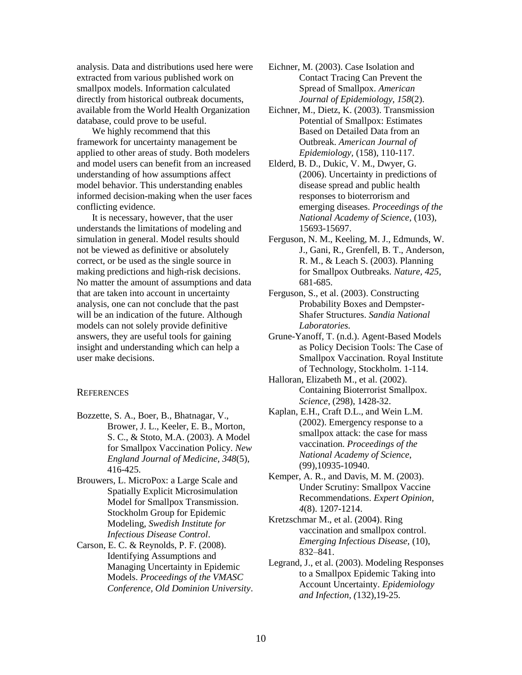analysis. Data and distributions used here were extracted from various published work on smallpox models. Information calculated directly from historical outbreak documents, available from the World Health Organization database, could prove to be useful.

We highly recommend that this framework for uncertainty management be applied to other areas of study. Both modelers and model users can benefit from an increased understanding of how assumptions affect model behavior. This understanding enables informed decision-making when the user faces conflicting evidence.

It is necessary, however, that the user understands the limitations of modeling and simulation in general. Model results should not be viewed as definitive or absolutely correct, or be used as the single source in making predictions and high-risk decisions. No matter the amount of assumptions and data that are taken into account in uncertainty analysis, one can not conclude that the past will be an indication of the future. Although models can not solely provide definitive answers, they are useful tools for gaining insight and understanding which can help a user make decisions.

#### **REFERENCES**

- Bozzette, S. A., Boer, B., Bhatnagar, V., Brower, J. L., Keeler, E. B., Morton, S. C., & Stoto, M.A. (2003). A Model for Smallpox Vaccination Policy. *New England Journal of Medicine, 348*(5), 416-425.
- Brouwers, L. MicroPox: a Large Scale and Spatially Explicit Microsimulation Model for Smallpox Transmission. Stockholm Group for Epidemic Modeling, *Swedish Institute for Infectious Disease Control*.
- Carson, E. C. & Reynolds, P. F. (2008). Identifying Assumptions and Managing Uncertainty in Epidemic Models. *Proceedings of the VMASC Conference, Old Dominion University*.

Eichner, M. (2003). Case Isolation and Contact Tracing Can Prevent the Spread of Smallpox. *American Journal of Epidemiology*, *158*(2).

- Eichner, M., Dietz, K. (2003). Transmission Potential of Smallpox: Estimates Based on Detailed Data from an Outbreak. *American Journal of Epidemiology,* (158), 110-117.
- Elderd, B. D., Dukic, V. M., Dwyer, G. (2006). Uncertainty in predictions of disease spread and public health responses to bioterrorism and emerging diseases. *Proceedings of the National Academy of Science,* (103), 15693-15697.
- Ferguson, N. M., Keeling, M. J., Edmunds, W. J., Gani, R., Grenfell, B. T., Anderson, R. M., & Leach S. (2003). Planning for Smallpox Outbreaks. *Nature, 425*, 681-685.
- Ferguson, S., et al. (2003). Constructing Probability Boxes and Dempster-Shafer Structures. *Sandia National Laboratories.*
- Grune-Yanoff, T. (n.d.). Agent-Based Models as Policy Decision Tools: The Case of Smallpox Vaccination. Royal Institute of Technology, Stockholm. 1-114.
- Halloran, Elizabeth M., et al. (2002). Containing Bioterrorist Smallpox. *Science*, (298), 1428-32.
- Kaplan, E.H., Craft D.L., and Wein L.M. (2002). Emergency response to a smallpox attack: the case for mass vaccination. *Proceedings of the National Academy of Science*, (99),10935-10940.
- Kemper, A. R., and Davis, M. M. (2003). Under Scrutiny: Smallpox Vaccine Recommendations. *Expert Opinion, 4*(8). 1207-1214.
- Kretzschmar M., et al. (2004). Ring vaccination and smallpox control. *Emerging Infectious Disease,* (10), 832–841.
- Legrand, J., et al. (2003). Modeling Responses to a Smallpox Epidemic Taking into Account Uncertainty. *Epidemiology and Infection, (*132),19-25.